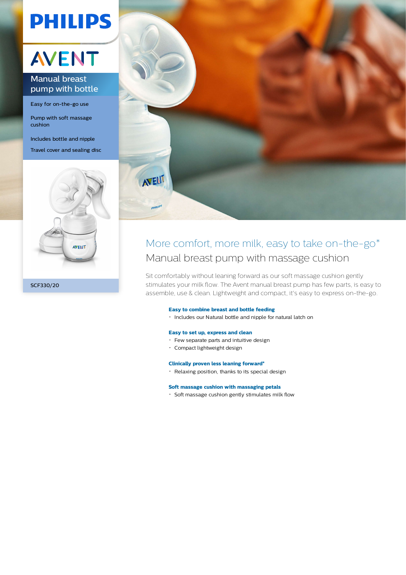# **PHILIPS**

## AVENT

### Manual breast pump with bottle

Easy for on-the-go use

Pump with soft massage cushion

Includes bottle and nipple

Travel cover and sealing disc





### More comfort, more milk, easy to take on-the-go\* Manual breast pump with massage cushion

Sit comfortably without leaning forward as our soft massage cushion gently stimulates your milk flow. The Avent manual breast pump has few parts, is easy to assemble, use & clean. Lightweight and compact, it's easy to express on-the-go.

#### **Easy to combine breast and bottle feeding**

Includes our Natural bottle and nipple for natural latch on

#### **Easy to set up, express and clean**

- Few separate parts and intuitive design
- Compact lightweight design

#### **Clinically proven less leaning forward\***

Relaxing position, thanks to its special design

#### **Soft massage cushion with massaging petals**

 $\cdot$  Soft massage cushion gently stimulates milk flow